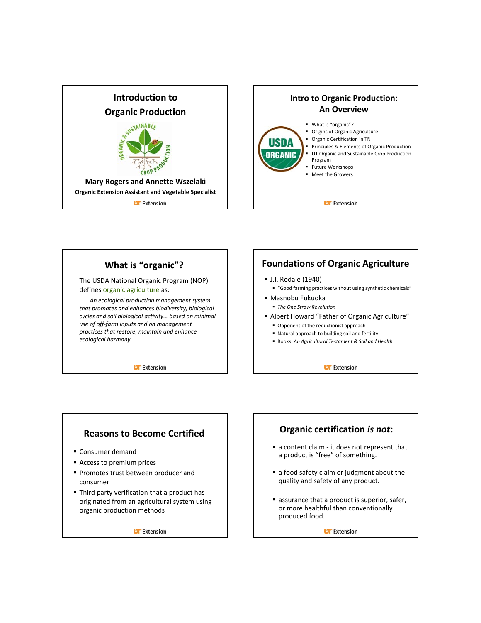





#### **Reasons to Become Certified**

- **Consumer demand**
- **Access to premium prices**
- **Promotes trust between producer and** consumer
- Third party verification that a product has originated from an agricultural system using organic production methods

**U** Extension

## **Organic certification** *is not***:**

- a content claim it does not represent that a product is "free" of something.
- a food safety claim or judgment about the quality and safety of any product.
- **assurance that a product is superior, safer,** or more healthful than conventionally produced food.

**Li** Extension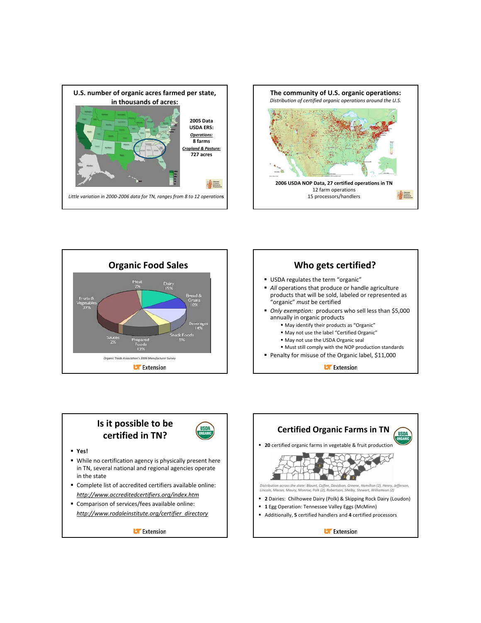







## **Is it possible to be certified in TN?**



- **Yes!**
- While no certification agency is physically present here in TN, several national and regional agencies operate in the state
- Complete list of accredited certifiers available online: *http://www.accreditedcertifiers.org/index.htm*
- Comparison of services/fees available online: *http://www.rodaleinstitute.org/certifier\_directory*

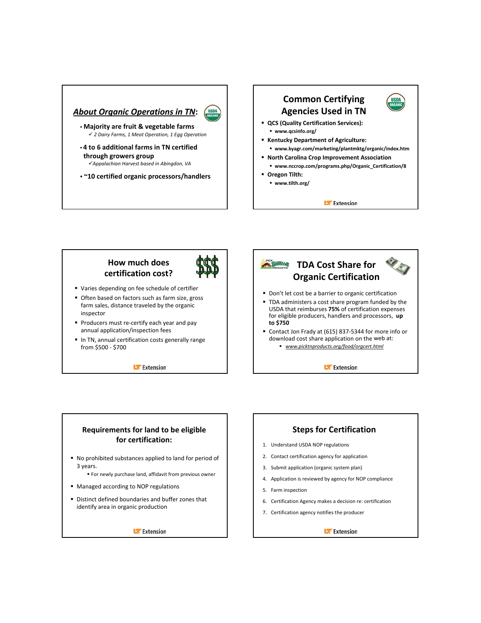#### *About Organic Operations in TN***:**



- **Majority are fruit & vegetable farms** 9 *2 Dairy Farms, 1 Meat Operation, 1 Egg Operation*
- **4 to 6 additional farms in TN certified through growers group**

9*Appalachian Harvest based in Abingdon, VA*

• **~10 certified organic processors/handlers**

## **Common Certifying Agencies Used in TN**



- **QCS (Quality Certification Services): www.qcsinfo.org/**
- **Kentucky Department of Agriculture: www.kyagr.com/marketing/plantmktg/organic/index.htm**
- **North Carolina Crop Improvement Association**
	- **www.nccrop.com/programs.php/Organic\_Certification/8**
- **Oregon Tilth:**
	- **www.tilth.org/**

**Extension** 

#### **How much does certification cost?**

- Varies depending on fee schedule of certifier
- Often based on factors such as farm size, gross farm sales, distance traveled by the organic inspector
- Producers must re-certify each year and pay annual application/inspection fees
- In TN, annual certification costs generally range from \$500 ‐ \$700

**DExtension** 



#### **Requirements for land to be eligible for certification:**

- No prohibited substances applied to land for period of 3 years.
	- For newly purchase land, affidavit from previous owner
- **Managed according to NOP regulations**
- Distinct defined boundaries and buffer zones that identify area in organic production

**U** Extension

#### **Steps for Certification**

- 1. Understand USDA NOP regulations
- 2. Contact certification agency for application
- 3. Submit application (organic system plan)
- 4. Application is reviewed by agency for NOP compliance
- 5. Farm inspection
- 6. Certification Agency makes a decision re: certification
- 7. Certification agency notifies the producer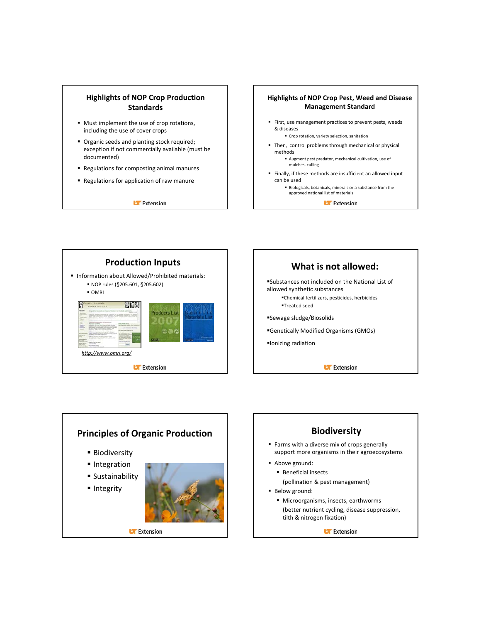#### **Highlights of NOP Crop Production Standards**

- Must implement the use of crop rotations, including the use of cover crops
- **Organic seeds and planting stock required;** exception if not commercially available (must be documented)
- Regulations for composting animal manures
- Regulations for application of raw manure

**Li** Extension

#### **Highlights of NOP Crop Pest, Weed and Disease Management Standard**

- First, use management practices to prevent pests, weeds & diseases
	- Crop rotation, variety selection, sanitation
- Then, control problems through mechanical or physical methods
	- Augment pest predator, mechanical cultivation, use of mulches, culling
- Finally, if these methods are insufficient an allowed input can be used

 Biologicals, botanicals, minerals or a substance from the approved national list of materials

**U** Extension





## **Principles of Organic Production**

- **Biodiversity**
- **Integration**
- Sustainability
- **Integrity**



## **Biodiversity**

- Farms with a diverse mix of crops generally support more organisms in their agroecosystems
- Above ground:
	- **Beneficial insects** (pollination & pest management)
- **Below ground:** 
	- $\blacksquare$  Microorganisms, insects, earthworms (better nutrient cycling, disease suppression, tilth & nitrogen fixation)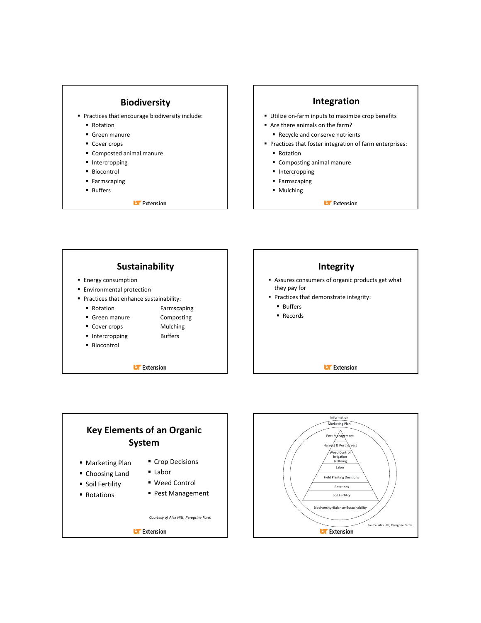

#### **Integration**

- Utilize on-farm inputs to maximize crop benefits
- Are there animals on the farm?
- Recycle and conserve nutrients
- **Practices that foster integration of farm enterprises:** 
	- Rotation
	- Composting animal manure
	- **Intercropping**
	- **Farmscaping**
	- Mulching





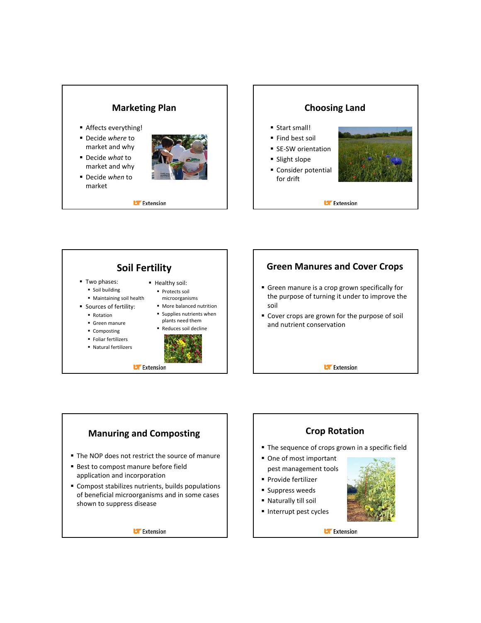## **Marketing Plan**

- Affects everything!
- Decide *where* to market and why
- Decide *what* to market and why
- Decide *when* to market



**Li** Extension

**U** Extension





#### **Manuring and Composting** The NOP does not restrict the source of manure ■ Best to compost manure before field application and incorporation Compost stabilizes nutrients, builds populations of beneficial microorganisms and in some cases shown to suppress disease **Crop Rotation** The sequence of crops grown in a specific field One of most important pest management tools Provide fertilizer **Suppress weeds**  Naturally till soil Interrupt pest cycles

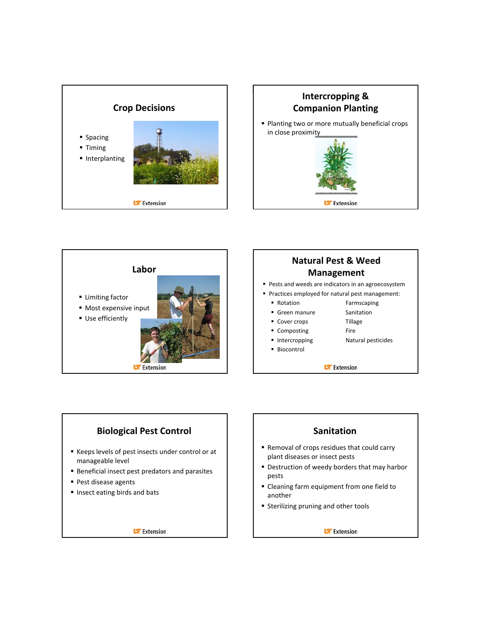







- 
- Intercropping Natural pesticides
- Biocontrol

**UF** Extension

#### **Biological Pest Control**

- Keeps levels of pest insects under control or at manageable level
- **Beneficial insect pest predators and parasites**
- **Pest disease agents**
- Insect eating birds and bats

**U** Extension

#### **Sanitation**

- Removal of crops residues that could carry plant diseases or insect pests
- Destruction of weedy borders that may harbor pests
- **Cleaning farm equipment from one field to** another
- **Sterilizing pruning and other tools**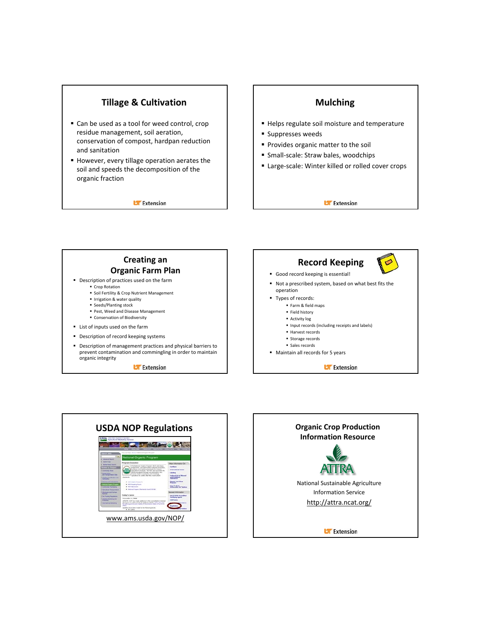## **Tillage & Cultivation**

- Can be used as a tool for weed control, crop residue management, soil aeration, conservation of compost, hardpan reduction and sanitation
- However, every tillage operation aerates the soil and speeds the decomposition of the organic fraction

**Li** Extension

#### **Mulching**

- Helps regulate soil moisture and temperature
- **Suppresses weeds**
- **Provides organic matter to the soil**
- Small-scale: Straw bales, woodchips
- Large-scale: Winter killed or rolled cover crops

**Extension** 



**Li** Extension



- Not a prescribed system, based on what best fits the operation
- Types of records:
	- **Farm & field maps** 
		- **Field history**
		- Activity log
		- Input records (including receipts and labels)
		- **Harvest records**
		- **Storage records**
		- **Sales records**
- Maintain all records for 5 years



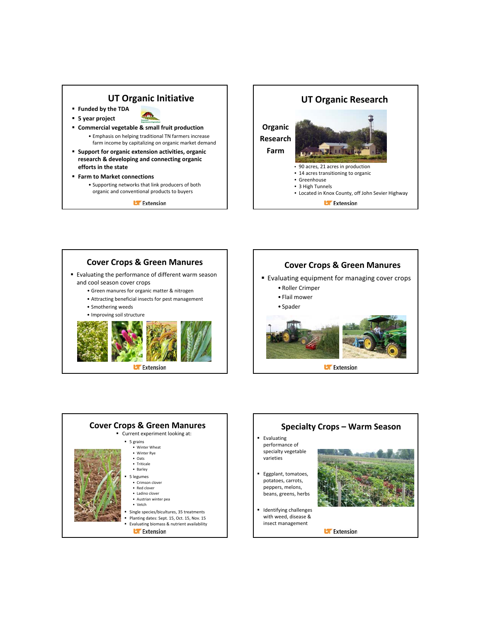#### **UT Organic Initiative**

- **Funded by the TDA**
- **5 year project**
- 
- **Commercial vegetable & small fruit production** • Emphasis on helping traditional TN farmers increase farm income by capitalizing on organic market demand
- **Support for organic extension activities, organic research & developing and connecting organic efforts in the state**
- **Farm to Market connections**
	- Supporting networks that link producers of both organic and conventional products to buyers

**U** Extension



# Evaluating the performance of different warm season and cool season cover crops • Green manures for organic matter & nitrogen • Attracting beneficial insects for pest management • Smothering weeds • Improving soil structure **Cover Crops & Green Manures**

**Li** Extension

## **Cover Crops & Green Manures**

- **Evaluating equipment for managing cover crops** 
	- Roller Crimper
	- Flail mower
	- Spader



**Cover Crops & Green Manures** Current experiment looking at: 5 grains • Winter Wheat • Winter Rye • Oats • Triticale • Barley 5 legumes • Crimson clover • Red clover • Ladino clover • Austrian winter pea • Vetch Single species/bicultures, 35 treatments Planting dates: Sept. 15, Oct. 15, Nov. 15 Evaluating biomass & nutrient availability **U** Extension

**Evaluating** performance of specialty vegetable varieties Eggplant, tomatoes, potatoes, carrots, peppers, melons, beans, greens, herbs Identifying challenges with weed, disease & insect management **Specialty Crops – Warm Season**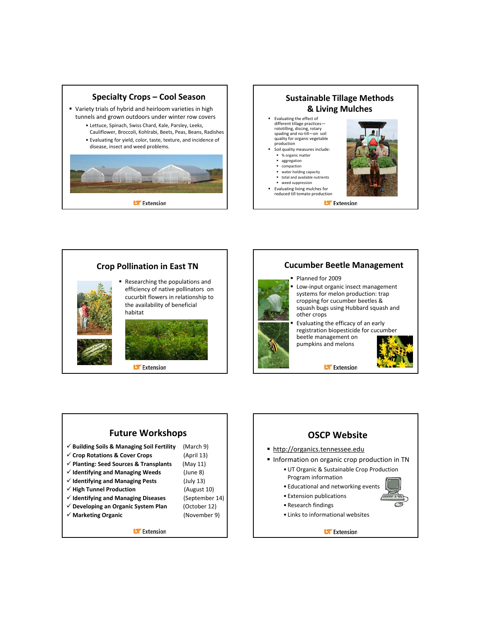

#### **Sustainable Tillage Methods & Living Mulches**

- **Evaluating the effect of** different tillage practices rototilling, discing, rotary spading and no-till-on soil quality for organic vegetable production
- Soil quality measures include: % organic matter
	- aggregation
	- compaction water holding capacity
	- total and available nutrients
- weed suppression Evaluating living mulches for
- reduced till tomato production

**Li** Extension



#### **Cucumber Beetle Management**

- Planned for 2009
	- Low‐input organic insect management systems for melon production: trap cropping for cucumber beetles & squash bugs using Hubbard squash and other crops
- Evaluating the efficacy of an early registration biopesticide for cucumber beetle management on pumpkins and melons